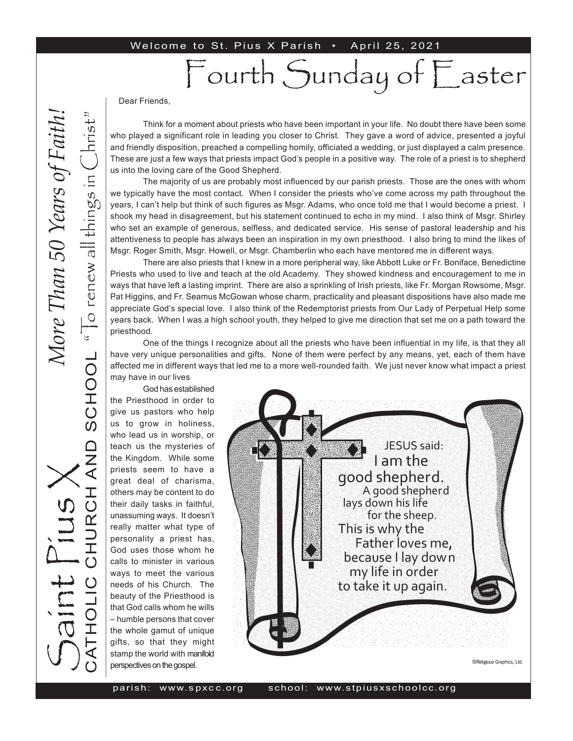#### Welcome to St. Pius X Parish . April 25, 2021

# Fourth Sunday of Easter

Dear Friends,

Think for a moment about priests who have been important in your life. No doubt there have been some who played a significant role in leading you closer to Christ. They gave a word of advice, presented a joyful and friendly disposition, preached a compelling homily, officiated a wedding, or just displayed a calm presence. These are just a few ways that priests impact God's people in a positive way. The role of a priest is to shepherd us into the loving care of the Good Shepherd.

The majority of us are probably most influenced by our parish priests. Those are the ones with whom we typically have the most contact. When I consider the priests who've come across my path throughout the years, I can't help but think of such figures as Msgr. Adams, who once told me that I would become a priest. I shook my head in disagreement, but his statement continued to echo in my mind. I also think of Msgr. Shirley who set an example of generous, selfless, and dedicated service. His sense of pastoral leadership and his attentiveness to people has always been an inspiration in my own priesthood. I also bring to mind the likes of Msgr. Roger Smith, Msgr. Howell, or Msgr. Chamberlin who each have mentored me in different ways.

There are also priests that I knew in a more peripheral way, like Abbott Luke or Fr. Boniface, Benedictine Priests who used to live and teach at the old Academy. They showed kindness and encouragement to me in ways that have left a lasting imprint. There are also a sprinkling of Irish priests, like Fr. Morgan Rowsome, Msgr. Pat Higgins, and Fr. Seamus McGowan whose charm, practicality and pleasant dispositions have also made me appreciate God's special love. I also think of the Redemptorist priests from Our Lady of Perpetual Help some years back. When I was a high school youth, they helped to give me direction that set me on a path toward the priesthood.

One of the things I recognize about all the priests who have been influential in my life, is that they all have very unique personalities and gifts. None of them were perfect by any means, yet, each of them have affected me in different ways that led me to a more well-rounded faith. We just never know what impact a priest may have in our lives

God has established the Priesthood in order to give us pastors who help us to grow in holiness, who lead us in worship, or teach us the mysteries of the Kingdom. While some priests seem to have a great deal of charisma, others may be content to do their daily tasks in faithful, unassuming ways. It doesn't really matter what type of personality a priest has, God uses those whom he calls to minister in various ways to meet the various needs of his Church. The beauty of the Priesthood is that God calls whom he wills – humble persons that cover the whole gamut of unique gifts, so that they might stamp the world with manifold perspectives on the gospel.

JESUS said: I am the good shepherd. A good shepherd lays down his life for the sheep. This is why the Father loves me, because I lay down my life in order to take it up again.

©Religious Graphics, Ltd.

S

aint Pius X

CATHOLIC CHURCH AND SCHOOL

**QNA** 

SCHOOL

" $\overline{C}$  renew all things in  $\overline{C}$ hrist"

"To renew all things in

hrist

*More Than 50 Years of Faith!*More Than 50 Years of Faith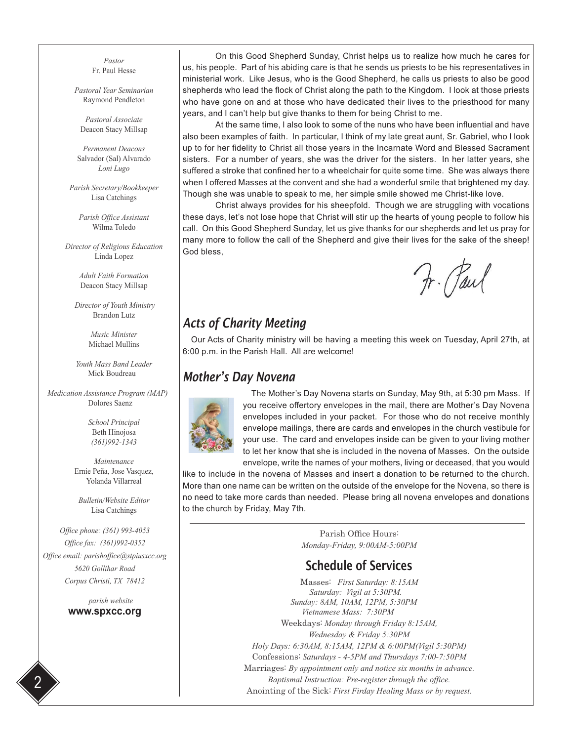*Pastor* Fr. Paul Hesse

*Pastoral Year Seminarian* Raymond Pendleton

*Pastoral Associate* Deacon Stacy Millsap

*Permanent Deacons* Salvador (Sal) Alvarado *Loni Lugo*

*Parish Secretary/Bookkeeper* Lisa Catchings

*Parish Office Assistant* Wilma Toledo

*Director of Religious Education* Linda Lopez

> *Adult Faith Formation* Deacon Stacy Millsap

 *Director of Youth Ministry* Brandon Lutz

> *Music Minister* Michael Mullins

*Youth Mass Band Leader* Mick Boudreau

 *Medication Assistance Program (MAP)* Dolores Saenz

> *School Principal* Beth Hinojosa *(361)992-1343*

*Maintenance* Ernie Peña, Jose Vasquez, Yolanda Villarreal

*Bulletin/Website Editor* Lisa Catchings

*Office phone: (361) 993-4053 Office fax: (361)992-0352 Office email: parishoffice@stpiusxcc.org 5620 Gollihar Road Corpus Christi, TX 78412*

> *parish website* **www.spxcc.org**

On this Good Shepherd Sunday, Christ helps us to realize how much he cares for us, his people. Part of his abiding care is that he sends us priests to be his representatives in ministerial work. Like Jesus, who is the Good Shepherd, he calls us priests to also be good shepherds who lead the flock of Christ along the path to the Kingdom. I look at those priests who have gone on and at those who have dedicated their lives to the priesthood for many years, and I can't help but give thanks to them for being Christ to me.

At the same time, I also look to some of the nuns who have been influential and have also been examples of faith. In particular, I think of my late great aunt, Sr. Gabriel, who I look up to for her fidelity to Christ all those years in the Incarnate Word and Blessed Sacrament sisters. For a number of years, she was the driver for the sisters. In her latter years, she suffered a stroke that confined her to a wheelchair for quite some time. She was always there when I offered Masses at the convent and she had a wonderful smile that brightened my day. Though she was unable to speak to me, her simple smile showed me Christ-like love.

Christ always provides for his sheepfold. Though we are struggling with vocations these days, let's not lose hope that Christ will stir up the hearts of young people to follow his call. On this Good Shepherd Sunday, let us give thanks for our shepherds and let us pray for many more to follow the call of the Shepherd and give their lives for the sake of the sheep! God bless,

Fr. Paul

### *Acts of Charity Meeting*

Our Acts of Charity ministry will be having a meeting this week on Tuesday, April 27th, at 6:00 p.m. in the Parish Hall. All are welcome!

#### *Mother's Day Novena*



The Mother's Day Novena starts on Sunday, May 9th, at 5:30 pm Mass. If you receive offertory envelopes in the mail, there are Mother's Day Novena envelopes included in your packet. For those who do not receive monthly envelope mailings, there are cards and envelopes in the church vestibule for your use. The card and envelopes inside can be given to your living mother to let her know that she is included in the novena of Masses. On the outside envelope, write the names of your mothers, living or deceased, that you would

like to include in the novena of Masses and insert a donation to be returned to the church. More than one name can be written on the outside of the envelope for the Novena, so there is no need to take more cards than needed. Please bring all novena envelopes and donations to the church by Friday, May 7th.

> Parish Office Hours: *Monday-Friday, 9:00AM-5:00PM*

#### Schedule of Services

Masses: *First Saturday: 8:15AM Saturday: Vigil at 5:30PM. Sunday: 8AM, 10AM, 12PM, 5:30PM Vietnamese Mass: 7:30PM*  Weekdays: *Monday through Friday 8:15AM, Wednesday & Friday 5:30PM Holy Days: 6:30AM, 8:15AM, 12PM & 6:00PM(Vigil 5:30PM)* Confessions: *Saturdays - 4-5PM and Thursdays 7:00-7:50PM* Marriages: *By appointment only and notice six months in advance. Baptismal Instruction: Pre-register through the office.* Anointing of the Sick: *First Firday Healing Mass or by request.* 2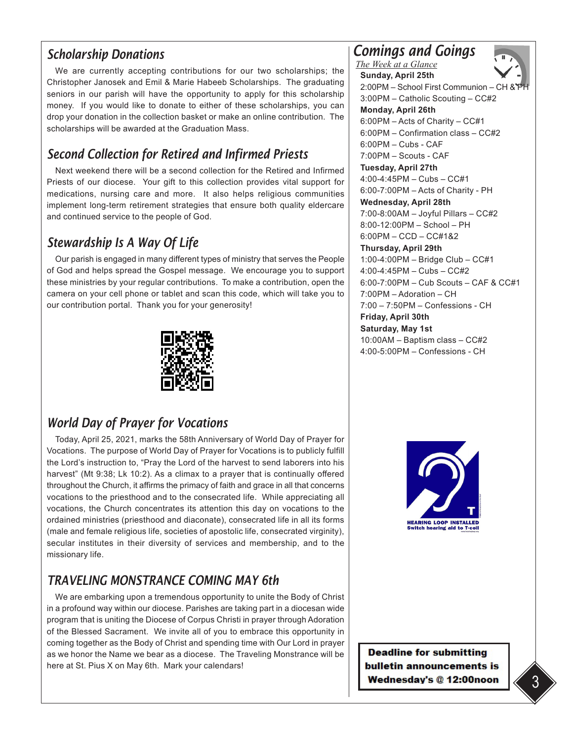## *Scholarship Donations*

We are currently accepting contributions for our two scholarships; the Christopher Janosek and Emil & Marie Habeeb Scholarships. The graduating seniors in our parish will have the opportunity to apply for this scholarship money. If you would like to donate to either of these scholarships, you can drop your donation in the collection basket or make an online contribution. The scholarships will be awarded at the Graduation Mass.

## *Second Collection for Retired and Infirmed Priests*

Next weekend there will be a second collection for the Retired and Infirmed Priests of our diocese. Your gift to this collection provides vital support for medications, nursing care and more. It also helps religious communities implement long-term retirement strategies that ensure both quality eldercare and continued service to the people of God.

## *Stewardship Is A Way Of Life*

Our parish is engaged in many different types of ministry that serves the People of God and helps spread the Gospel message. We encourage you to support these ministries by your regular contributions. To make a contribution, open the camera on your cell phone or tablet and scan this code, which will take you to our contribution portal. Thank you for your generosity!



### *World Day of Prayer for Vocations*

Today, April 25, 2021, marks the 58th Anniversary of World Day of Prayer for Vocations. The purpose of World Day of Prayer for Vocations is to publicly fulfill the Lord's instruction to, "Pray the Lord of the harvest to send laborers into his harvest" (Mt 9:38; Lk 10:2). As a climax to a prayer that is continually offered throughout the Church, it affirms the primacy of faith and grace in all that concerns vocations to the priesthood and to the consecrated life. While appreciating all vocations, the Church concentrates its attention this day on vocations to the ordained ministries (priesthood and diaconate), consecrated life in all its forms (male and female religious life, societies of apostolic life, consecrated virginity), secular institutes in their diversity of services and membership, and to the missionary life.

## *TRAVELING MONSTRANCE COMING MAY 6th*

We are embarking upon a tremendous opportunity to unite the Body of Christ in a profound way within our diocese. Parishes are taking part in a diocesan wide program that is uniting the Diocese of Corpus Christi in prayer through Adoration of the Blessed Sacrament. We invite all of you to embrace this opportunity in coming together as the Body of Christ and spending time with Our Lord in prayer as we honor the Name we bear as a diocese. The Traveling Monstrance will be here at St. Pius X on May 6th. Mark your calendars!

#### *Comings and Goings The Week at a Glance*



**Sunday, April 25th** 2:00PM – School First Communion – CH 3:00PM – Catholic Scouting – CC#2 **Monday, April 26th**  6:00PM – Acts of Charity – CC#1 6:00PM – Confirmation class – CC#2  $6:00$ PM – Cubs - CAF 7:00PM – Scouts - CAF **Tuesday, April 27th**  4:00-4:45PM – Cubs – CC#1 6:00-7:00PM – Acts of Charity - PH **Wednesday, April 28th** 7:00-8:00AM – Joyful Pillars – CC#2 8:00-12:00PM – School – PH 6:00PM – CCD – CC#1&2 **Thursday, April 29th** 1:00-4:00PM – Bridge Club – CC#1 4:00-4:45PM – Cubs – CC#2 6:00-7:00PM – Cub Scouts – CAF & CC#1 7:00PM – Adoration – CH 7:00 – 7:50PM – Confessions - CH **Friday, April 30th Saturday, May 1st**  10:00AM – Baptism class – CC#2 4:00-5:00PM – Confessions - CH



**Deadline for submitting** bulletin announcements is Wednesday's @ 12:00noon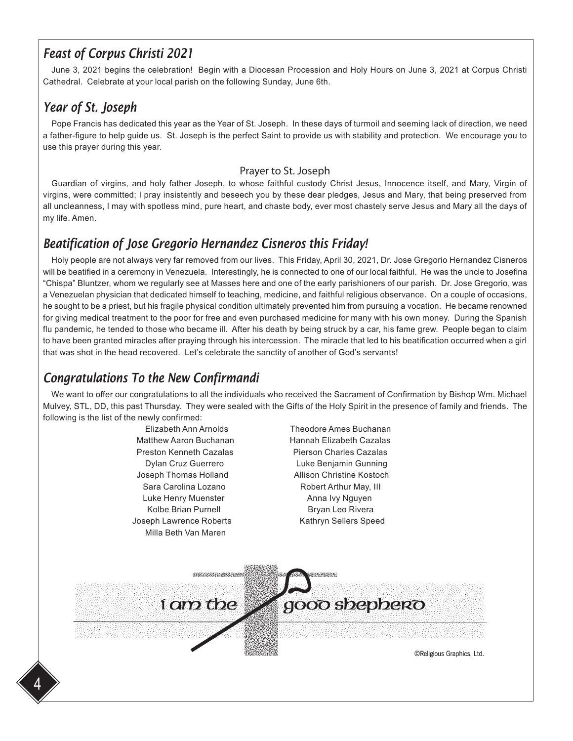## *Feast of Corpus Christi 2021*

June 3, 2021 begins the celebration! Begin with a Diocesan Procession and Holy Hours on June 3, 2021 at Corpus Christi Cathedral. Celebrate at your local parish on the following Sunday, June 6th.

## *Year of St. Joseph*

Pope Francis has dedicated this year as the Year of St. Joseph. In these days of turmoil and seeming lack of direction, we need a father-figure to help guide us. St. Joseph is the perfect Saint to provide us with stability and protection. We encourage you to use this prayer during this year.

#### Prayer to St. Joseph

Guardian of virgins, and holy father Joseph, to whose faithful custody Christ Jesus, Innocence itself, and Mary, Virgin of virgins, were committed; I pray insistently and beseech you by these dear pledges, Jesus and Mary, that being preserved from all uncleanness, I may with spotless mind, pure heart, and chaste body, ever most chastely serve Jesus and Mary all the days of my life. Amen.

## *Beatification of Jose Gregorio Hernandez Cisneros this Friday!*

Holy people are not always very far removed from our lives. This Friday, April 30, 2021, Dr. Jose Gregorio Hernandez Cisneros will be beatified in a ceremony in Venezuela. Interestingly, he is connected to one of our local faithful. He was the uncle to Josefina "Chispa" Bluntzer, whom we regularly see at Masses here and one of the early parishioners of our parish. Dr. Jose Gregorio, was a Venezuelan physician that dedicated himself to teaching, medicine, and faithful religious observance. On a couple of occasions, he sought to be a priest, but his fragile physical condition ultimately prevented him from pursuing a vocation. He became renowned for giving medical treatment to the poor for free and even purchased medicine for many with his own money. During the Spanish flu pandemic, he tended to those who became ill. After his death by being struck by a car, his fame grew. People began to claim to have been granted miracles after praying through his intercession. The miracle that led to his beatification occurred when a girl that was shot in the head recovered. Let's celebrate the sanctity of another of God's servants!

## *Congratulations To the New Confirmandi*

We want to offer our congratulations to all the individuals who received the Sacrament of Confirmation by Bishop Wm. Michael Mulvey, STL, DD, this past Thursday. They were sealed with the Gifts of the Holy Spirit in the presence of family and friends. The following is the list of the newly confirmed:

> Matthew Aaron Buchanan **Hannah Elizabeth Cazalas** Preston Kenneth Cazalas Pierson Charles Cazalas Joseph Thomas Holland **Allison Christine Kostoch** Sara Carolina Lozano **Robert Arthur May, III** Luke Henry Muenster **Anna Ivy Nguyen** Kolbe Brian Purnell **Bryan Leo Rivera** Joseph Lawrence Roberts Kathryn Sellers Speed Milla Beth Van Maren

 Elizabeth Ann Arnolds Theodore Ames Buchanan Dylan Cruz Guerrero Luke Benjamin Gunning

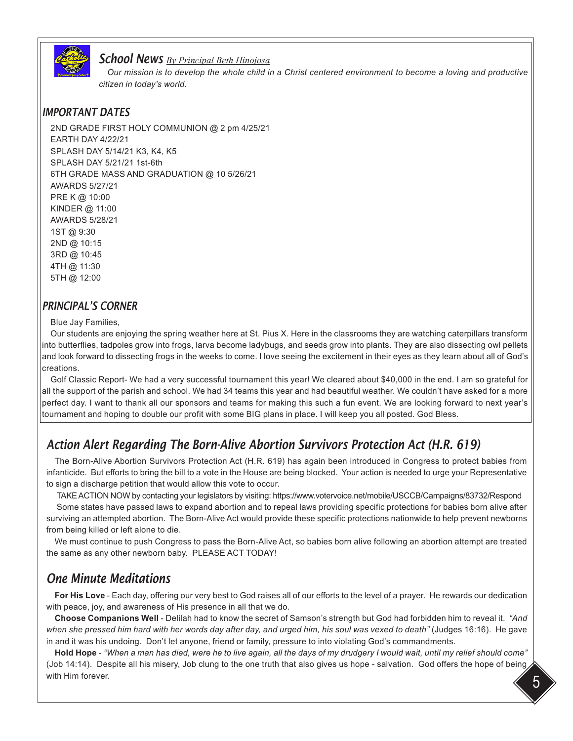

#### *School News By Principal Beth Hinojosa*

*Our mission is to develop the whole child in a Christ centered environment to become a loving and productive citizen in today's world.* 

#### *IMPORTANT DATES*

2ND GRADE FIRST HOLY COMMUNION @ 2 pm 4/25/21 EARTH DAY 4/22/21 SPLASH DAY 5/14/21 K3, K4, K5 SPLASH DAY 5/21/21 1st-6th 6TH GRADE MASS AND GRADUATION @ 10 5/26/21 AWARDS 5/27/21 PRE K @ 10:00 KINDER @ 11:00 AWARDS 5/28/21 1ST @ 9:30 2ND @ 10:15 3RD @ 10:45 4TH @ 11:30 5TH @ 12:00

#### *PRINCIPAL'S CORNER*

#### Blue Jay Families,

Our students are enjoying the spring weather here at St. Pius X. Here in the classrooms they are watching caterpillars transform into butterflies, tadpoles grow into frogs, larva become ladybugs, and seeds grow into plants. They are also dissecting owl pellets and look forward to dissecting frogs in the weeks to come. I love seeing the excitement in their eyes as they learn about all of God's creations.

Golf Classic Report- We had a very successful tournament this year! We cleared about \$40,000 in the end. I am so grateful for all the support of the parish and school. We had 34 teams this year and had beautiful weather. We couldn't have asked for a more perfect day. I want to thank all our sponsors and teams for making this such a fun event. We are looking forward to next year's tournament and hoping to double our profit with some BIG plans in place. I will keep you all posted. God Bless.

## *Action Alert Regarding The Born-Alive Abortion Survivors Protection Act (H.R. 619)*

The Born-Alive Abortion Survivors Protection Act (H.R. 619) has again been introduced in Congress to protect babies from infanticide. But efforts to bring the bill to a vote in the House are being blocked. Your action is needed to urge your Representative to sign a discharge petition that would allow this vote to occur.

TAKE ACTION NOW by contacting your legislators by visiting: https://www.votervoice.net/mobile/USCCB/Campaigns/83732/Respond

 Some states have passed laws to expand abortion and to repeal laws providing specific protections for babies born alive after surviving an attempted abortion. The Born-Alive Act would provide these specific protections nationwide to help prevent newborns from being killed or left alone to die.

We must continue to push Congress to pass the Born-Alive Act, so babies born alive following an abortion attempt are treated the same as any other newborn baby. PLEASE ACT TODAY!

### *One Minute Meditations*

**For His Love** - Each day, offering our very best to God raises all of our efforts to the level of a prayer. He rewards our dedication with peace, joy, and awareness of His presence in all that we do.

**Choose Companions Well** - Delilah had to know the secret of Samson's strength but God had forbidden him to reveal it. *"And when she pressed him hard with her words day after day, and urged him, his soul was vexed to death"* (Judges 16:16). He gave in and it was his undoing. Don't let anyone, friend or family, pressure to into violating God's commandments.

**Hold Hope** - *"When a man has died, were he to live again, all the days of my drudgery I would wait, until my relief should come"*  (Job 14:14). Despite all his misery, Job clung to the one truth that also gives us hope - salvation. God offers the hope of being, with Him forever.